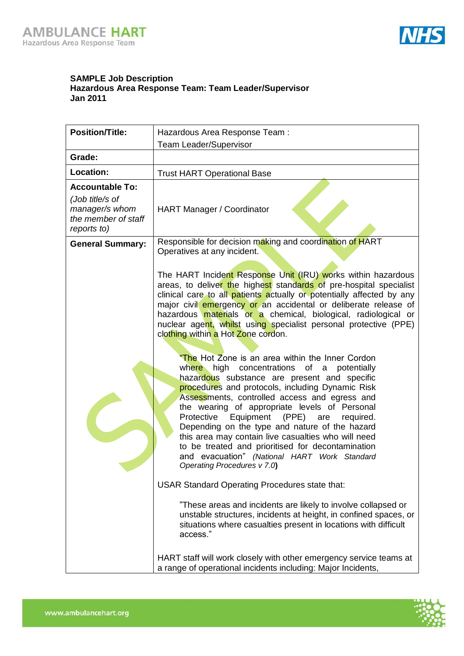

## **SAMPLE Job Description Hazardous Area Response Team: Team Leader/Supervisor Jan 2011**

| <b>Team Leader/Supervisor</b><br>Grade:<br>Location:<br><b>Trust HART Operational Base</b><br><b>Accountable To:</b><br>(Job title/s of<br>manager/s whom<br>HART Manager / Coordinator<br>the member of staff<br>reports to)<br>Responsible for decision making and coordination of HART<br><b>General Summary:</b><br>Operatives at any incident.<br>The HART Incident Response Unit (IRU) works within hazardous<br>areas, to deliver the highest standards of pre-hospital specialist<br>clinical care to all patients actually or potentially affected by any<br>major civil emergency or an accidental or deliberate release of<br>hazardous materials or a chemical, biological, radiological or<br>nuclear agent, whilst using specialist personal protective (PPE)<br>clothing within a Hot Zone cordon.<br>"The Hot Zone is an area within the Inner Cordon<br>where high concentrations of a potentially<br>hazardous substance are present and specific<br>procedures and protocols, including Dynamic Risk<br>Assessments, controlled access and egress and<br>the wearing of appropriate levels of Personal<br>Protective<br>Equipment<br>(PPE)<br>are<br>required.<br>Depending on the type and nature of the hazard<br>this area may contain live casualties who will need |
|--------------------------------------------------------------------------------------------------------------------------------------------------------------------------------------------------------------------------------------------------------------------------------------------------------------------------------------------------------------------------------------------------------------------------------------------------------------------------------------------------------------------------------------------------------------------------------------------------------------------------------------------------------------------------------------------------------------------------------------------------------------------------------------------------------------------------------------------------------------------------------------------------------------------------------------------------------------------------------------------------------------------------------------------------------------------------------------------------------------------------------------------------------------------------------------------------------------------------------------------------------------------------------------------|
|                                                                                                                                                                                                                                                                                                                                                                                                                                                                                                                                                                                                                                                                                                                                                                                                                                                                                                                                                                                                                                                                                                                                                                                                                                                                                            |
|                                                                                                                                                                                                                                                                                                                                                                                                                                                                                                                                                                                                                                                                                                                                                                                                                                                                                                                                                                                                                                                                                                                                                                                                                                                                                            |
|                                                                                                                                                                                                                                                                                                                                                                                                                                                                                                                                                                                                                                                                                                                                                                                                                                                                                                                                                                                                                                                                                                                                                                                                                                                                                            |
|                                                                                                                                                                                                                                                                                                                                                                                                                                                                                                                                                                                                                                                                                                                                                                                                                                                                                                                                                                                                                                                                                                                                                                                                                                                                                            |
| to be treated and prioritised for decontamination<br>and evacuation" (National HART Work Standard<br>Operating Procedures v 7.0)<br><b>USAR Standard Operating Procedures state that:</b><br>"These areas and incidents are likely to involve collapsed or<br>unstable structures, incidents at height, in confined spaces, or<br>situations where casualties present in locations with difficult<br>access."<br>HART staff will work closely with other emergency service teams at<br>a range of operational incidents including: Major Incidents,                                                                                                                                                                                                                                                                                                                                                                                                                                                                                                                                                                                                                                                                                                                                        |

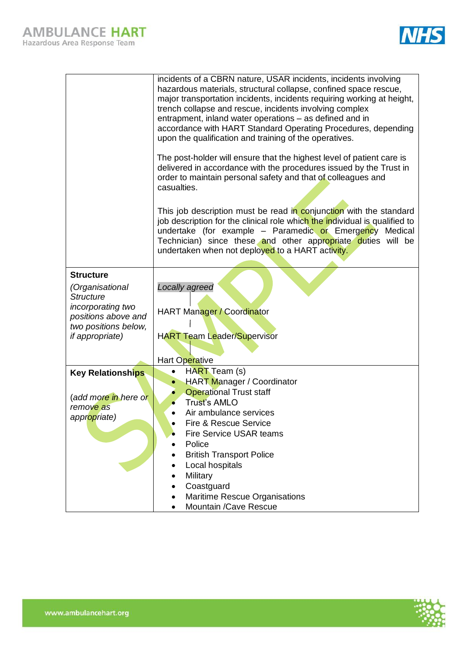

|                                             | incidents of a CBRN nature, USAR incidents, incidents involving<br>hazardous materials, structural collapse, confined space rescue,<br>major transportation incidents, incidents requiring working at height,<br>trench collapse and rescue, incidents involving complex<br>entrapment, inland water operations - as defined and in<br>accordance with HART Standard Operating Procedures, depending<br>upon the qualification and training of the operatives. |  |  |  |  |
|---------------------------------------------|----------------------------------------------------------------------------------------------------------------------------------------------------------------------------------------------------------------------------------------------------------------------------------------------------------------------------------------------------------------------------------------------------------------------------------------------------------------|--|--|--|--|
|                                             | The post-holder will ensure that the highest level of patient care is<br>delivered in accordance with the procedures issued by the Trust in<br>order to maintain personal safety and that of colleagues and<br>casualties.                                                                                                                                                                                                                                     |  |  |  |  |
|                                             | This job description must be read in conjunction with the standard<br>job description for the clinical role which the individual is qualified to<br>undertake (for example - Paramedic or Emergency Medical<br>Technician) since these and other appropriate duties will be<br>undertaken when not deployed to a HART activity.                                                                                                                                |  |  |  |  |
| <b>Structure</b>                            |                                                                                                                                                                                                                                                                                                                                                                                                                                                                |  |  |  |  |
| (Organisational                             | Locally agreed                                                                                                                                                                                                                                                                                                                                                                                                                                                 |  |  |  |  |
| <b>Structure</b>                            |                                                                                                                                                                                                                                                                                                                                                                                                                                                                |  |  |  |  |
| incorporating two                           | HART Manager / Coordinator                                                                                                                                                                                                                                                                                                                                                                                                                                     |  |  |  |  |
| positions above and<br>two positions below, |                                                                                                                                                                                                                                                                                                                                                                                                                                                                |  |  |  |  |
| <i>if appropriate)</i>                      | <b>HART Team Leader/Supervisor</b>                                                                                                                                                                                                                                                                                                                                                                                                                             |  |  |  |  |
|                                             |                                                                                                                                                                                                                                                                                                                                                                                                                                                                |  |  |  |  |
|                                             | Hart Operative                                                                                                                                                                                                                                                                                                                                                                                                                                                 |  |  |  |  |
| <b>Key Relationships</b>                    | HART Team (s)<br>$\bullet$                                                                                                                                                                                                                                                                                                                                                                                                                                     |  |  |  |  |
|                                             | <b>HART Manager / Coordinator</b><br>$\bullet$                                                                                                                                                                                                                                                                                                                                                                                                                 |  |  |  |  |
| (add more in here or                        | <b>Operational Trust staff</b><br><b>Trust's AMLO</b>                                                                                                                                                                                                                                                                                                                                                                                                          |  |  |  |  |
| remove as                                   | Air ambulance services<br>$\bullet$                                                                                                                                                                                                                                                                                                                                                                                                                            |  |  |  |  |
| appropriate)                                | <b>Fire &amp; Rescue Service</b>                                                                                                                                                                                                                                                                                                                                                                                                                               |  |  |  |  |
|                                             | Fire Service USAR teams                                                                                                                                                                                                                                                                                                                                                                                                                                        |  |  |  |  |
|                                             | Police                                                                                                                                                                                                                                                                                                                                                                                                                                                         |  |  |  |  |
|                                             | <b>British Transport Police</b>                                                                                                                                                                                                                                                                                                                                                                                                                                |  |  |  |  |
|                                             | Local hospitals                                                                                                                                                                                                                                                                                                                                                                                                                                                |  |  |  |  |
|                                             | Military<br>Coastguard                                                                                                                                                                                                                                                                                                                                                                                                                                         |  |  |  |  |
|                                             | Maritime Rescue Organisations                                                                                                                                                                                                                                                                                                                                                                                                                                  |  |  |  |  |
|                                             | Mountain /Cave Rescue<br>$\bullet$                                                                                                                                                                                                                                                                                                                                                                                                                             |  |  |  |  |

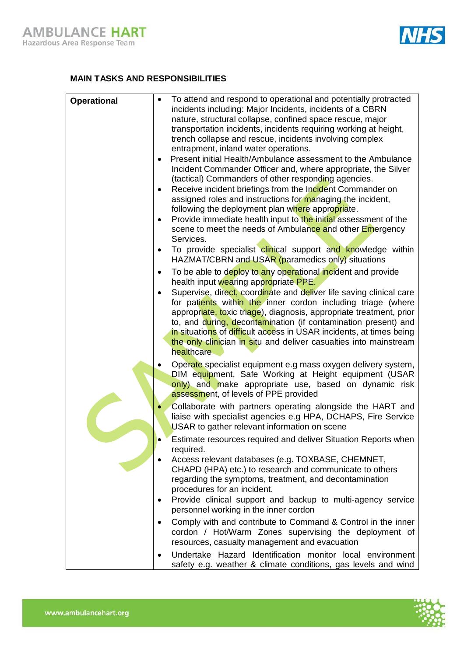

## **MAIN TASKS AND RESPONSIBILITIES**

| <b>Operational</b> | To attend and respond to operational and potentially protracted<br>$\bullet$                                                 |
|--------------------|------------------------------------------------------------------------------------------------------------------------------|
|                    | incidents including: Major Incidents, incidents of a CBRN<br>nature, structural collapse, confined space rescue, major       |
|                    | transportation incidents, incidents requiring working at height,                                                             |
|                    | trench collapse and rescue, incidents involving complex                                                                      |
|                    | entrapment, inland water operations.                                                                                         |
|                    | Present initial Health/Ambulance assessment to the Ambulance                                                                 |
|                    | Incident Commander Officer and, where appropriate, the Silver                                                                |
|                    | (tactical) Commanders of other responding agencies.                                                                          |
|                    | Receive incident briefings from the Incident Commander on<br>٠<br>assigned roles and instructions for managing the incident, |
|                    | following the deployment plan where appropriate.                                                                             |
|                    | Provide immediate health input to the initial assessment of the<br>$\bullet$                                                 |
|                    | scene to meet the needs of Ambulance and other Emergency                                                                     |
|                    | Services.<br>To provide specialist clinical support and knowledge within<br>$\bullet$                                        |
|                    | HAZMAT/CBRN and USAR (paramedics only) situations                                                                            |
|                    | To be able to deploy to any operational incident and provide<br>$\bullet$                                                    |
|                    | health input wearing appropriate PPE.<br>Supervise, direct, coordinate and deliver life saving clinical care                 |
|                    | for patients within the inner cordon including triage (where                                                                 |
|                    | appropriate, toxic triage), diagnosis, appropriate treatment, prior                                                          |
|                    | to, and during, decontamination (if contamination present) and                                                               |
|                    | in situations of difficult access in USAR incidents, at times being                                                          |
|                    | the only clinician in situ and deliver casualties into mainstream<br>healthcare                                              |
|                    |                                                                                                                              |
|                    | Operate specialist equipment e.g mass oxygen delivery system,<br>DIM equipment, Safe Working at Height equipment (USAR       |
|                    | only) and make appropriate use, based on dynamic risk                                                                        |
|                    | assessment, of levels of PPE provided                                                                                        |
|                    | Collaborate with partners operating alongside the HART and                                                                   |
|                    | liaise with specialist agencies e.g HPA, DCHAPS, Fire Service                                                                |
|                    | USAR to gather relevant information on scene                                                                                 |
|                    | Estimate resources required and deliver Situation Reports when<br>required.                                                  |
|                    | Access relevant databases (e.g. TOXBASE, CHEMNET,                                                                            |
|                    | CHAPD (HPA) etc.) to research and communicate to others                                                                      |
|                    | regarding the symptoms, treatment, and decontamination                                                                       |
|                    | procedures for an incident.                                                                                                  |
|                    | Provide clinical support and backup to multi-agency service                                                                  |
|                    | personnel working in the inner cordon                                                                                        |
|                    | Comply with and contribute to Command & Control in the inner                                                                 |
|                    | cordon / Hot/Warm Zones supervising the deployment of                                                                        |
|                    | resources, casualty management and evacuation                                                                                |
|                    | Undertake Hazard Identification monitor local environment                                                                    |
|                    | safety e.g. weather & climate conditions, gas levels and wind                                                                |

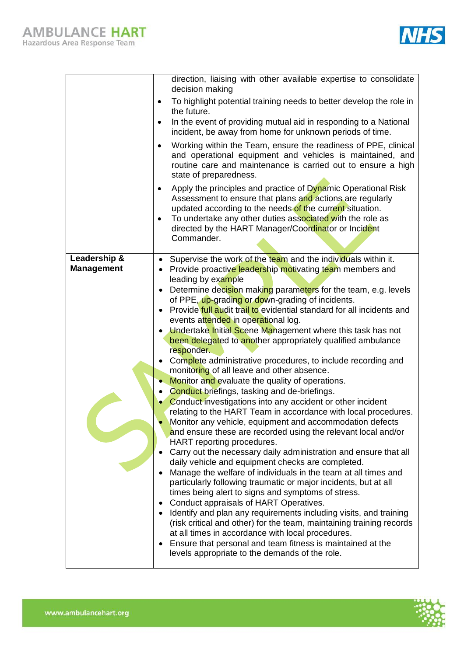

|                                   | direction, liaising with other available expertise to consolidate<br>decision making                                                                                                                                                                                                                                                        |
|-----------------------------------|---------------------------------------------------------------------------------------------------------------------------------------------------------------------------------------------------------------------------------------------------------------------------------------------------------------------------------------------|
|                                   | To highlight potential training needs to better develop the role in<br>$\bullet$<br>the future.                                                                                                                                                                                                                                             |
|                                   | In the event of providing mutual aid in responding to a National<br>incident, be away from home for unknown periods of time.                                                                                                                                                                                                                |
|                                   | Working within the Team, ensure the readiness of PPE, clinical<br>$\bullet$<br>and operational equipment and vehicles is maintained, and<br>routine care and maintenance is carried out to ensure a high<br>state of preparedness.                                                                                                          |
|                                   | Apply the principles and practice of Dynamic Operational Risk<br>٠<br>Assessment to ensure that plans and actions are regularly<br>updated according to the needs of the current situation.<br>To undertake any other duties associated with the role as<br>$\bullet$<br>directed by the HART Manager/Coordinator or Incident<br>Commander. |
| Leadership &<br><b>Management</b> | Supervise the work of the team and the individuals within it.<br>$\bullet$<br>Provide proactive leadership motivating team members and                                                                                                                                                                                                      |
|                                   | leading by example<br>Determine decision making parameters for the team, e.g. levels                                                                                                                                                                                                                                                        |
|                                   | of PPE, up-grading or down-grading of incidents.                                                                                                                                                                                                                                                                                            |
|                                   | Provide full audit trail to evidential standard for all incidents and                                                                                                                                                                                                                                                                       |
|                                   | events attended in operational log.<br>Undertake Initial Scene Management where this task has not                                                                                                                                                                                                                                           |
|                                   | been delegated to another appropriately qualified ambulance                                                                                                                                                                                                                                                                                 |
|                                   | responder.<br>Complete administrative procedures, to include recording and                                                                                                                                                                                                                                                                  |
|                                   | monitoring of all leave and other absence.                                                                                                                                                                                                                                                                                                  |
|                                   | Monitor and evaluate the quality of operations.                                                                                                                                                                                                                                                                                             |
|                                   | <b>Conduct briefings, tasking and de-briefings.</b>                                                                                                                                                                                                                                                                                         |
|                                   | Conduct investigations into any accident or other incident<br>relating to the HART Team in accordance with local procedures.                                                                                                                                                                                                                |
|                                   | Monitor any vehicle, equipment and accommodation defects                                                                                                                                                                                                                                                                                    |
|                                   | and ensure these are recorded using the relevant local and/or<br>HART reporting procedures.                                                                                                                                                                                                                                                 |
|                                   | Carry out the necessary daily administration and ensure that all                                                                                                                                                                                                                                                                            |
|                                   | daily vehicle and equipment checks are completed.                                                                                                                                                                                                                                                                                           |
|                                   | Manage the welfare of individuals in the team at all times and<br>particularly following traumatic or major incidents, but at all                                                                                                                                                                                                           |
|                                   | times being alert to signs and symptoms of stress.                                                                                                                                                                                                                                                                                          |
|                                   | Conduct appraisals of HART Operatives.<br>Identify and plan any requirements including visits, and training                                                                                                                                                                                                                                 |
|                                   | (risk critical and other) for the team, maintaining training records                                                                                                                                                                                                                                                                        |
|                                   | at all times in accordance with local procedures.                                                                                                                                                                                                                                                                                           |
|                                   | Ensure that personal and team fitness is maintained at the<br>levels appropriate to the demands of the role.                                                                                                                                                                                                                                |
|                                   |                                                                                                                                                                                                                                                                                                                                             |

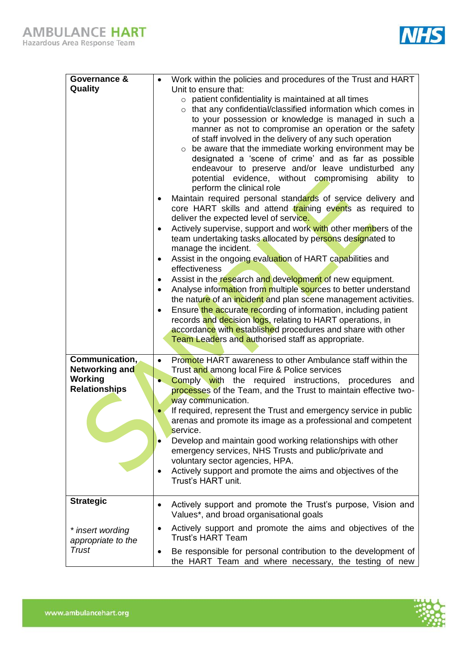

| Governance &                           |           | Work within the policies and procedures of the Trust and HART                                                                      |
|----------------------------------------|-----------|------------------------------------------------------------------------------------------------------------------------------------|
| Quality                                |           | Unit to ensure that:<br>patient confidentiality is maintained at all times<br>$\circ$                                              |
|                                        |           | that any confidential/classified information which comes in<br>$\circ$                                                             |
|                                        |           | to your possession or knowledge is managed in such a<br>manner as not to compromise an operation or the safety                     |
|                                        |           | of staff involved in the delivery of any such operation                                                                            |
|                                        |           | be aware that the immediate working environment may be<br>designated a 'scene of crime' and as far as possible                     |
|                                        |           | endeavour to preserve and/or leave undisturbed any                                                                                 |
|                                        |           | potential evidence, without compromising ability to<br>perform the clinical role                                                   |
|                                        |           | Maintain required personal standards of service delivery and                                                                       |
|                                        |           | core HART skills and attend training events as required to<br>deliver the expected level of service.                               |
|                                        |           | Actively supervise, support and work with other members of the                                                                     |
|                                        |           | team undertaking tasks allocated by persons designated to<br>manage the incident.                                                  |
|                                        | $\bullet$ | Assist in the ongoing evaluation of HART capabilities and                                                                          |
|                                        | $\bullet$ | effectiveness<br>Assist in the research and development of new equipment.                                                          |
|                                        | $\bullet$ | Analyse information from multiple sources to better understand                                                                     |
|                                        |           | the nature of an incident and plan scene management activities.                                                                    |
|                                        | $\bullet$ | Ensure the accurate recording of information, including patient<br>records and decision logs, relating to HART operations, in      |
|                                        |           | accordance with established procedures and share with other                                                                        |
|                                        |           | Team Leaders and authorised staff as appropriate.                                                                                  |
| Communication,                         |           | Promote HART awareness to other Ambulance staff within the                                                                         |
| Networking and                         |           | Trust and among local Fire & Police services                                                                                       |
| Working<br><b>Relationships</b>        |           | <b>Comply with</b> the required instructions, procedures<br>and<br>processes of the Team, and the Trust to maintain effective two- |
|                                        |           | way communication.                                                                                                                 |
|                                        |           | If required, represent the Trust and emergency service in public                                                                   |
|                                        |           | arenas and promote its image as a professional and competent<br>service.                                                           |
|                                        |           | Develop and maintain good working relationships with other                                                                         |
|                                        |           | emergency services, NHS Trusts and public/private and                                                                              |
|                                        | $\bullet$ | voluntary sector agencies, HPA.<br>Actively support and promote the aims and objectives of the                                     |
|                                        |           | Trust's HART unit.                                                                                                                 |
| <b>Strategic</b>                       | $\bullet$ | Actively support and promote the Trust's purpose, Vision and<br>Values*, and broad organisational goals                            |
| * insert wording<br>appropriate to the | $\bullet$ | Actively support and promote the aims and objectives of the<br><b>Trust's HART Team</b>                                            |
| <b>Trust</b>                           |           | Be responsible for personal contribution to the development of<br>the HART Team and where necessary, the testing of new            |

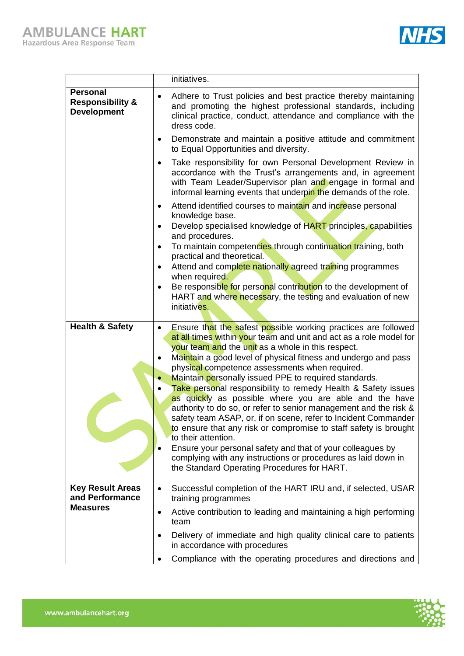

|                                                                      | initiatives.                                                                                                                                                                                                                                                                                                                                                                                                                                                                                                                                                                                                                                                                                                                                                                                                                                                                                                                   |
|----------------------------------------------------------------------|--------------------------------------------------------------------------------------------------------------------------------------------------------------------------------------------------------------------------------------------------------------------------------------------------------------------------------------------------------------------------------------------------------------------------------------------------------------------------------------------------------------------------------------------------------------------------------------------------------------------------------------------------------------------------------------------------------------------------------------------------------------------------------------------------------------------------------------------------------------------------------------------------------------------------------|
| <b>Personal</b><br><b>Responsibility &amp;</b><br><b>Development</b> | Adhere to Trust policies and best practice thereby maintaining<br>$\bullet$<br>and promoting the highest professional standards, including<br>clinical practice, conduct, attendance and compliance with the<br>dress code.                                                                                                                                                                                                                                                                                                                                                                                                                                                                                                                                                                                                                                                                                                    |
|                                                                      | Demonstrate and maintain a positive attitude and commitment<br>$\bullet$<br>to Equal Opportunities and diversity.                                                                                                                                                                                                                                                                                                                                                                                                                                                                                                                                                                                                                                                                                                                                                                                                              |
|                                                                      | Take responsibility for own Personal Development Review in<br>accordance with the Trust's arrangements and, in agreement<br>with Team Leader/Supervisor plan and engage in formal and<br>informal learning events that underpin the demands of the role.                                                                                                                                                                                                                                                                                                                                                                                                                                                                                                                                                                                                                                                                       |
|                                                                      | Attend identified courses to maintain and increase personal<br>$\bullet$                                                                                                                                                                                                                                                                                                                                                                                                                                                                                                                                                                                                                                                                                                                                                                                                                                                       |
|                                                                      | knowledge base.<br>Develop specialised knowledge of HART principles, capabilities<br>$\bullet$<br>and procedures.                                                                                                                                                                                                                                                                                                                                                                                                                                                                                                                                                                                                                                                                                                                                                                                                              |
|                                                                      | To maintain competencies through continuation training, both<br>$\bullet$<br>practical and theoretical.                                                                                                                                                                                                                                                                                                                                                                                                                                                                                                                                                                                                                                                                                                                                                                                                                        |
|                                                                      | Attend and complete nationally agreed training programmes<br>$\bullet$<br>when required.                                                                                                                                                                                                                                                                                                                                                                                                                                                                                                                                                                                                                                                                                                                                                                                                                                       |
|                                                                      | Be responsible for personal contribution to the development of<br>$\bullet$<br>HART and where necessary, the testing and evaluation of new<br>initiatives.                                                                                                                                                                                                                                                                                                                                                                                                                                                                                                                                                                                                                                                                                                                                                                     |
| <b>Health &amp; Safety</b>                                           | Ensure that the safest possible working practices are followed<br>$\bullet$<br>at all times within your team and unit and act as a role model for<br>your team and the unit as a whole in this respect.<br>Maintain a good level of physical fitness and undergo and pass<br>physical competence assessments when required.<br>Maintain personally issued PPE to required standards.<br>Take personal responsibility to remedy Health & Safety issues<br>as quickly as possible where you are able and the have<br>authority to do so, or refer to senior management and the risk &<br>safety team ASAP, or, if on scene, refer to Incident Commander<br>to ensure that any risk or compromise to staff safety is brought<br>to their attention.<br>Ensure your personal safety and that of your colleagues by<br>complying with any instructions or procedures as laid down in<br>the Standard Operating Procedures for HART. |
| <b>Key Result Areas</b><br>and Performance                           | Successful completion of the HART IRU and, if selected, USAR<br>$\bullet$<br>training programmes                                                                                                                                                                                                                                                                                                                                                                                                                                                                                                                                                                                                                                                                                                                                                                                                                               |
| <b>Measures</b>                                                      | Active contribution to leading and maintaining a high performing<br>٠<br>team                                                                                                                                                                                                                                                                                                                                                                                                                                                                                                                                                                                                                                                                                                                                                                                                                                                  |
|                                                                      | Delivery of immediate and high quality clinical care to patients<br>in accordance with procedures                                                                                                                                                                                                                                                                                                                                                                                                                                                                                                                                                                                                                                                                                                                                                                                                                              |
|                                                                      | Compliance with the operating procedures and directions and                                                                                                                                                                                                                                                                                                                                                                                                                                                                                                                                                                                                                                                                                                                                                                                                                                                                    |